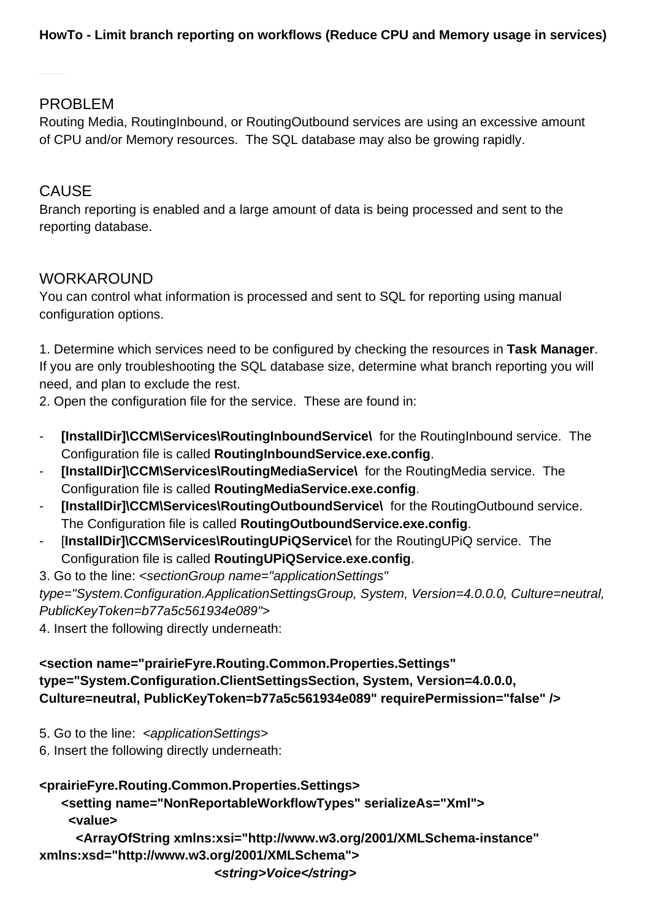## PROBLEM

Routing Media, RoutingInbound, or RoutingOutbound services are using an excessive amount of CPU and/or Memory resources. The SQL database may also be growing rapidly.

# CAUSE

Branch reporting is enabled and a large amount of data is being processed and sent to the reporting database.

## WORKAROUND

You can control what information is processed and sent to SQL for reporting using manual configuration options.

1. Determine which services need to be configured by checking the resources in **Task Manager**. If you are only troubleshooting the SQL database size, determine what branch reporting you will need, and plan to exclude the rest.

2. Open the configuration file for the service. These are found in:

- **[InstallDir]\CCM\Services\RoutingInboundService\** for the RoutingInbound service. The Configuration file is called **RoutingInboundService.exe.config**.
- **[InstallDir]\CCM\Services\RoutingMediaService\** for the RoutingMedia service. The Configuration file is called **RoutingMediaService.exe.config**.
- **[InstallDir]\CCM\Services\RoutingOutboundService\** for the RoutingOutbound service. The Configuration file is called **RoutingOutboundService.exe.config**.
- [**InstallDir]\CCM\Services\RoutingUPiQService\** for the RoutingUPiQ service. The Configuration file is called **RoutingUPiQService.exe.config**.

3. Go to the line: <sectionGroup name="applicationSettings" type="System.Configuration.ApplicationSettingsGroup, System, Version=4.0.0.0, Culture=neutral, PublicKeyToken=b77a5c561934e089">

4. Insert the following directly underneath:

#### **<section name="prairieFyre.Routing.Common.Properties.Settings" type="System.Configuration.ClientSettingsSection, System, Version=4.0.0.0, Culture=neutral, PublicKeyToken=b77a5c561934e089" requirePermission="false" />**

5. Go to the line: <applicationSettings>

6. Insert the following directly underneath:

### **<prairieFyre.Routing.Common.Properties.Settings>**

 **<setting name="NonReportableWorkflowTypes" serializeAs="Xml"> <value>**

 **<ArrayOfString xmlns:xsi=["http://www.w3.org/2001/XMLSchema-instance"](http://www.w3.org/2001/XMLSchema-instance) xmlns:xsd=["http://www.w3.org/2001/XMLSchema](http://www.w3.org/2001/XMLSchema)"> <string>Voice</string>**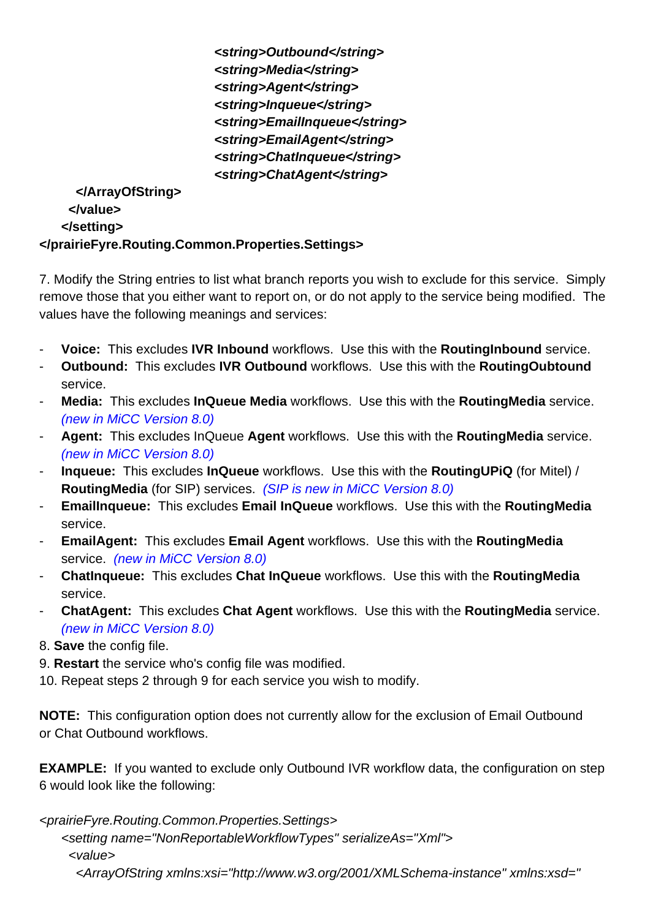**<string>Outbound</string> <string>Media</string> <string>Agent</string> <string>Inqueue</string> <string>EmailInqueue</string> <string>EmailAgent</string> <string>ChatInqueue</string> <string>ChatAgent</string>**

 **</ArrayOfString> </value> </setting> </prairieFyre.Routing.Common.Properties.Settings>**

7. Modify the String entries to list what branch reports you wish to exclude for this service. Simply remove those that you either want to report on, or do not apply to the service being modified. The values have the following meanings and services:

- **Voice:** This excludes **IVR Inbound** workflows. Use this with the **RoutingInbound** service.
- **Outbound:** This excludes **IVR Outbound** workflows. Use this with the **RoutingOubtound** service.
- **Media:** This excludes **InQueue Media** workflows. Use this with the **RoutingMedia** service. (new in MiCC Version 8.0)
- **Agent:** This excludes InQueue **Agent** workflows. Use this with the **RoutingMedia** service. (new in MiCC Version 8.0)
- **Inqueue:** This excludes **InQueue** workflows. Use this with the **RoutingUPiQ** (for Mitel) / **RoutingMedia** (for SIP) services. (SIP is new in MiCC Version 8.0)
- **EmailInqueue:** This excludes **Email InQueue** workflows. Use this with the **RoutingMedia** service.
- **EmailAgent:** This excludes **Email Agent** workflows. Use this with the **RoutingMedia** service. (new in MiCC Version 8.0)
- **ChatInqueue:** This excludes **Chat InQueue** workflows. Use this with the **RoutingMedia** service.
- **ChatAgent:** This excludes **Chat Agent** workflows. Use this with the **RoutingMedia** service. (new in MiCC Version 8.0)
- 8. **Save** the config file.
- 9. **Restart** the service who's config file was modified.
- 10. Repeat steps 2 through 9 for each service you wish to modify.

**NOTE:** This configuration option does not currently allow for the exclusion of Email Outbound or Chat Outbound workflows.

**EXAMPLE:** If you wanted to exclude only Outbound IVR workflow data, the configuration on step 6 would look like the following:

<prairieFyre.Routing.Common.Properties.Settings>

<setting name="NonReportableWorkflowTypes" serializeAs="Xml">

<value>

<ArrayOfString xmlns:xsi="<http://www.w3.org/2001/XMLSchema-instance>" xmlns:xsd="